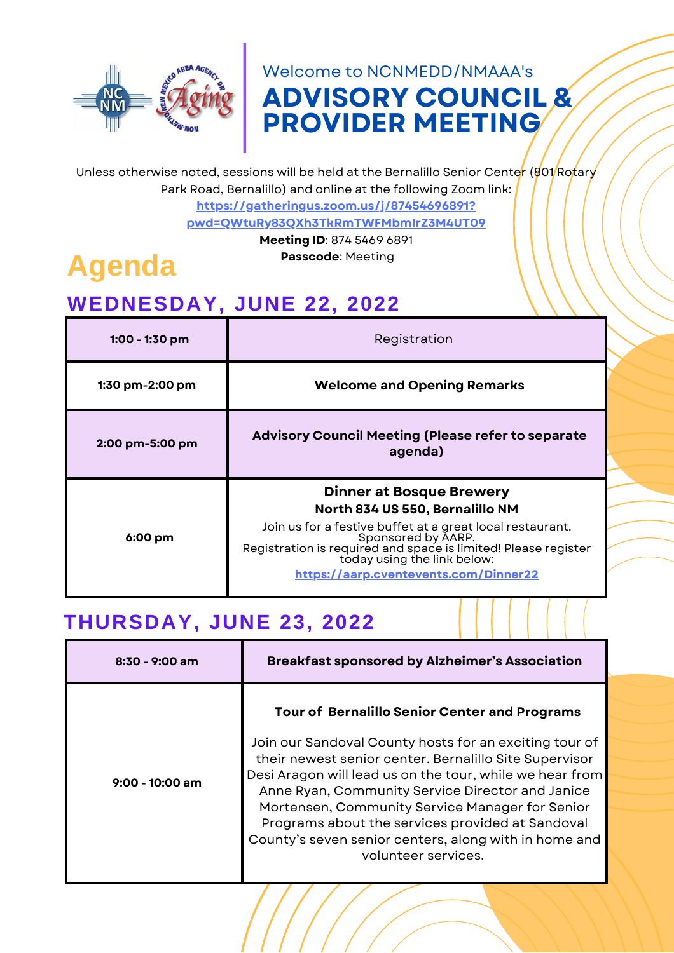

## **ADVISORY COUNCIL & PROVIDER MEETING** Welcome to NCNMEDD/NMAAA's

Unless otherwise noted, sessions will be held at the Bernalillo Senior Center ( $801/Ro$ fary Park Road, Bernalillo) and online at the following Zoom link:

> **https://gatheringus.zoom.us/j/87454696891? [pwd=QWtuRy83QXh3TkRmTWFMbmIrZ3M4UT09](https://gatheringus.zoom.us/j/87454696891?pwd=QWtuRy83QXh3TkRmTWFMbmIrZ3M4UT09)**

#### **Meeting ID**: 874 5469 6891

**Passcode**: Meeting

# **Agenda**

## **WEDNESDAY, JUNE 22, 2022**

| 1:00 - 1:30 pm    | Registration                                                                                                                                                                                                                                                                                    |
|-------------------|-------------------------------------------------------------------------------------------------------------------------------------------------------------------------------------------------------------------------------------------------------------------------------------------------|
| $1:30$ pm-2:00 pm | <b>Welcome and Opening Remarks</b>                                                                                                                                                                                                                                                              |
| 2:00 pm-5:00 pm   | <b>Advisory Council Meeting (Please refer to separate</b><br>agenda)                                                                                                                                                                                                                            |
| $6:00 \text{ pm}$ | <b>Dinner at Bosque Brewery</b><br>North 834 US 550, Bernalillo NM<br>Join us for a festive buffet at a great local restaurant.<br>Sponsored by AARP.<br>Registration is required and space is limited! Please register<br>today using the link below:<br>https://aarp.cventevents.com/Dinner22 |

### **THURSDAY, JUNE 23, 2022**

| $8:30 - 9:00$ am  | <b>Breakfast sponsored by Alzheimer's Association</b>                                                                                                                                                                                                                                                                                                                                                                   |
|-------------------|-------------------------------------------------------------------------------------------------------------------------------------------------------------------------------------------------------------------------------------------------------------------------------------------------------------------------------------------------------------------------------------------------------------------------|
|                   | <b>Tour of Bernalillo Senior Center and Programs</b>                                                                                                                                                                                                                                                                                                                                                                    |
| $9:00 - 10:00$ am | Join our Sandoval County hosts for an exciting tour of<br>their newest senior center. Bernalillo Site Supervisor<br>Desi Aragon will lead us on the tour, while we hear from<br>Anne Ryan, Community Service Director and Janice<br>Mortensen, Community Service Manager for Senior<br>Programs about the services provided at Sandoval<br>County's seven senior centers, along with in home and<br>volunteer services. |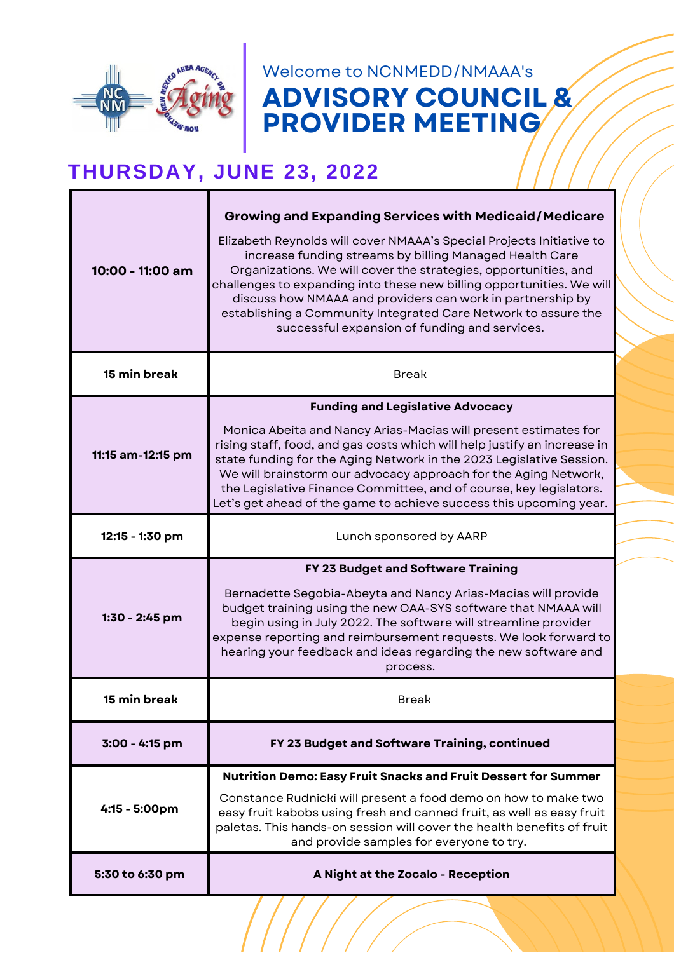

**ADVISORY COUNCIL & PROVIDER MEETING** Welcome to NCNMEDD/NMAAA's

# **THURSDAY, JUNE 23, 2022**

| 10:00 - 11:00 am  | <b>Growing and Expanding Services with Medicaid/Medicare</b><br>Elizabeth Reynolds will cover NMAAA's Special Projects Initiative to<br>increase funding streams by billing Managed Health Care<br>Organizations. We will cover the strategies, opportunities, and<br>challenges to expanding into these new billing opportunities. We will<br>discuss how NMAAA and providers can work in partnership by<br>establishing a Community Integrated Care Network to assure the<br>successful expansion of funding and services. |
|-------------------|------------------------------------------------------------------------------------------------------------------------------------------------------------------------------------------------------------------------------------------------------------------------------------------------------------------------------------------------------------------------------------------------------------------------------------------------------------------------------------------------------------------------------|
| 15 min break      | <b>Break</b>                                                                                                                                                                                                                                                                                                                                                                                                                                                                                                                 |
| 11:15 am-12:15 pm | <b>Funding and Legislative Advocacy</b><br>Monica Abeita and Nancy Arias-Macias will present estimates for<br>rising staff, food, and gas costs which will help justify an increase in<br>state funding for the Aging Network in the 2023 Legislative Session.<br>We will brainstorm our advocacy approach for the Aging Network,<br>the Legislative Finance Committee, and of course, key legislators.<br>Let's get ahead of the game to achieve success this upcoming year.                                                |
| 12:15 - 1:30 pm   | Lunch sponsored by AARP                                                                                                                                                                                                                                                                                                                                                                                                                                                                                                      |
| 1:30 - 2:45 pm    | FY 23 Budget and Software Training<br>Bernadette Segobia-Abeyta and Nancy Arias-Macias will provide<br>budget training using the new OAA-SYS software that NMAAA will<br>begin using in July 2022. The software will streamline provider<br>expense reporting and reimbursement requests. We look forward to<br>hearing your feedback and ideas regarding the new software and<br>process.                                                                                                                                   |
| 15 min break      | Break                                                                                                                                                                                                                                                                                                                                                                                                                                                                                                                        |
| 3:00 - 4:15 pm    | FY 23 Budget and Software Training, continued                                                                                                                                                                                                                                                                                                                                                                                                                                                                                |
| 4:15 - 5:00pm     | <b>Nutrition Demo: Easy Fruit Snacks and Fruit Dessert for Summer</b><br>Constance Rudnicki will present a food demo on how to make two<br>easy fruit kabobs using fresh and canned fruit, as well as easy fruit<br>paletas. This hands-on session will cover the health benefits of fruit<br>and provide samples for everyone to try.                                                                                                                                                                                       |
| 5:30 to 6:30 pm   | A Night at the Zocalo - Reception                                                                                                                                                                                                                                                                                                                                                                                                                                                                                            |